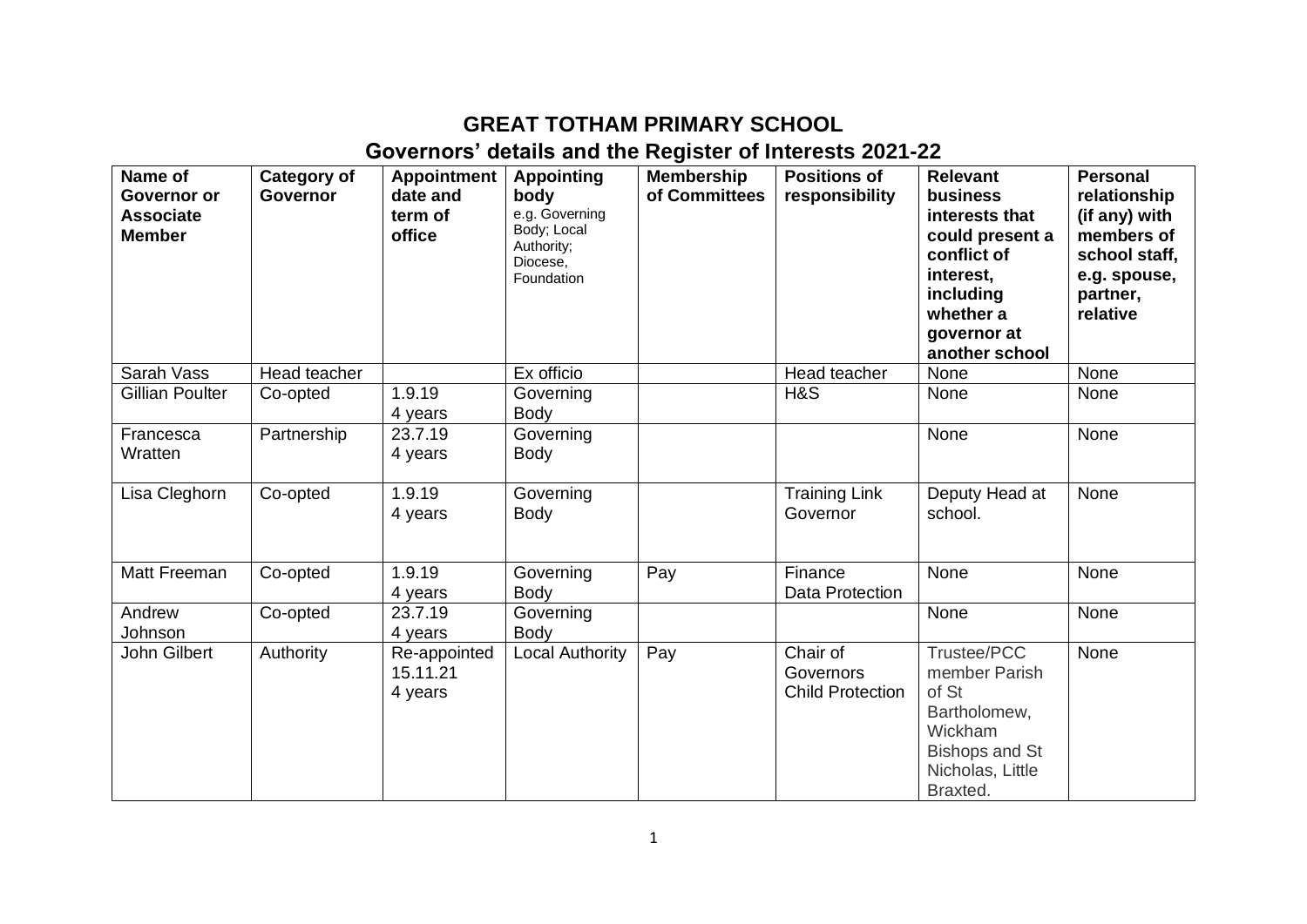## **GREAT TOTHAM PRIMARY SCHOOL Governors' details and the Register of Interests 2021-22**

| Name of<br><b>Governor or</b><br><b>Associate</b><br><b>Member</b> | Category of<br><b>Governor</b> | <b>Appointment</b><br>date and<br>term of<br>office | <b>Appointing</b><br>body<br>e.g. Governing<br>Body; Local<br>Authority;<br>Diocese,<br>Foundation | <b>Membership</b><br>of Committees | <b>Positions of</b><br>responsibility            | <b>Relevant</b><br>business<br>interests that<br>could present a<br>conflict of<br>interest,<br>including<br>whether a<br>governor at<br>another school | <b>Personal</b><br>relationship<br>(if any) with<br>members of<br>school staff,<br>e.g. spouse,<br>partner,<br>relative |
|--------------------------------------------------------------------|--------------------------------|-----------------------------------------------------|----------------------------------------------------------------------------------------------------|------------------------------------|--------------------------------------------------|---------------------------------------------------------------------------------------------------------------------------------------------------------|-------------------------------------------------------------------------------------------------------------------------|
| Sarah Vass                                                         | Head teacher                   |                                                     | Ex officio                                                                                         |                                    | Head teacher                                     | None                                                                                                                                                    | None                                                                                                                    |
| Gillian Poulter                                                    | Co-opted                       | 1.9.19<br>4 years                                   | Governing<br><b>Body</b>                                                                           |                                    | H&S                                              | None                                                                                                                                                    | None                                                                                                                    |
| Francesca<br>Wratten                                               | Partnership                    | 23.7.19<br>4 years                                  | Governing<br><b>Body</b>                                                                           |                                    |                                                  | None                                                                                                                                                    | None                                                                                                                    |
| Lisa Cleghorn                                                      | Co-opted                       | 1.9.19<br>4 years                                   | Governing<br>Body                                                                                  |                                    | <b>Training Link</b><br>Governor                 | Deputy Head at<br>school.                                                                                                                               | None                                                                                                                    |
| Matt Freeman                                                       | Co-opted                       | 1.9.19<br>4 years                                   | Governing<br><b>Body</b>                                                                           | Pay                                | Finance<br>Data Protection                       | None                                                                                                                                                    | None                                                                                                                    |
| Andrew<br>Johnson                                                  | Co-opted                       | 23.7.19<br>4 years                                  | Governing<br><b>Body</b>                                                                           |                                    |                                                  | None                                                                                                                                                    | None                                                                                                                    |
| John Gilbert                                                       | Authority                      | Re-appointed<br>15.11.21<br>4 years                 | <b>Local Authority</b>                                                                             | Pay                                | Chair of<br>Governors<br><b>Child Protection</b> | Trustee/PCC<br>member Parish<br>of St<br>Bartholomew,<br>Wickham<br><b>Bishops and St</b><br>Nicholas, Little<br>Braxted.                               | None                                                                                                                    |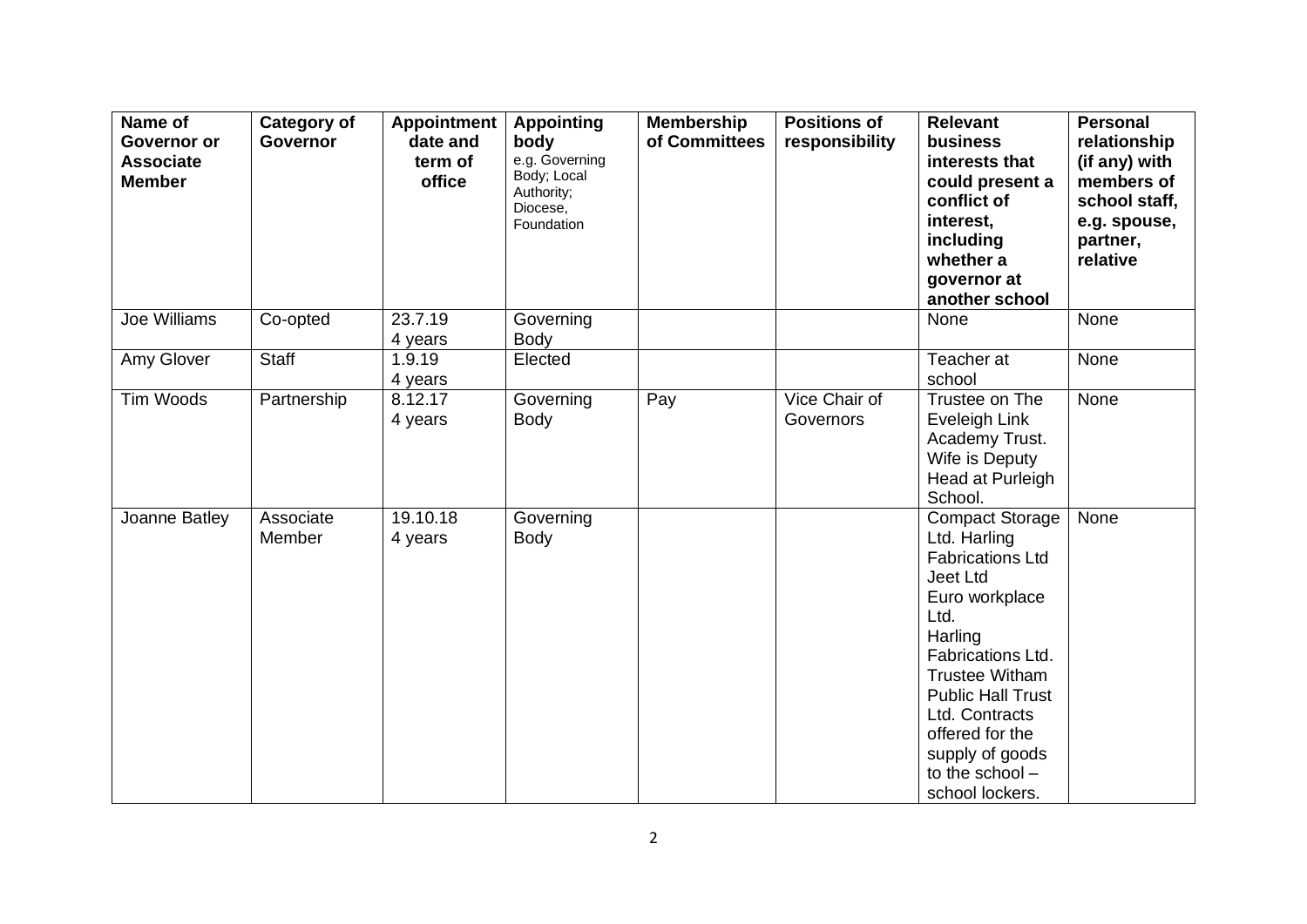| Name of<br>Governor or<br><b>Associate</b><br><b>Member</b> | <b>Category of</b><br><b>Governor</b> | <b>Appointment</b><br>date and<br>term of<br>office | <b>Appointing</b><br>body<br>e.g. Governing<br>Body; Local<br>Authority;<br>Diocese,<br>Foundation | <b>Membership</b><br>of Committees | <b>Positions of</b><br>responsibility | <b>Relevant</b><br><b>business</b><br>interests that<br>could present a<br>conflict of<br>interest,<br>including<br>whether a<br>governor at<br>another school                                                                                                                             | <b>Personal</b><br>relationship<br>(if any) with<br>members of<br>school staff,<br>e.g. spouse,<br>partner,<br>relative |
|-------------------------------------------------------------|---------------------------------------|-----------------------------------------------------|----------------------------------------------------------------------------------------------------|------------------------------------|---------------------------------------|--------------------------------------------------------------------------------------------------------------------------------------------------------------------------------------------------------------------------------------------------------------------------------------------|-------------------------------------------------------------------------------------------------------------------------|
| Joe Williams                                                | Co-opted                              | 23.7.19<br>4 years                                  | Governing<br><b>Body</b>                                                                           |                                    |                                       | <b>None</b>                                                                                                                                                                                                                                                                                | None                                                                                                                    |
| Amy Glover                                                  | Staff                                 | 1.9.19<br>4 years                                   | Elected                                                                                            |                                    |                                       | Teacher at<br>school                                                                                                                                                                                                                                                                       | None                                                                                                                    |
| Tim Woods                                                   | Partnership                           | 8.12.17<br>4 years                                  | Governing<br><b>Body</b>                                                                           | Pay                                | Vice Chair of<br>Governors            | Trustee on The<br>Eveleigh Link<br>Academy Trust.<br>Wife is Deputy<br>Head at Purleigh<br>School.                                                                                                                                                                                         | None                                                                                                                    |
| Joanne Batley                                               | Associate<br>Member                   | 19.10.18<br>4 years                                 | Governing<br><b>Body</b>                                                                           |                                    |                                       | <b>Compact Storage</b><br>Ltd. Harling<br><b>Fabrications Ltd</b><br>Jeet Ltd<br>Euro workplace<br>Ltd.<br>Harling<br>Fabrications Ltd.<br><b>Trustee Witham</b><br><b>Public Hall Trust</b><br>Ltd. Contracts<br>offered for the<br>supply of goods<br>to the school -<br>school lockers. | None                                                                                                                    |